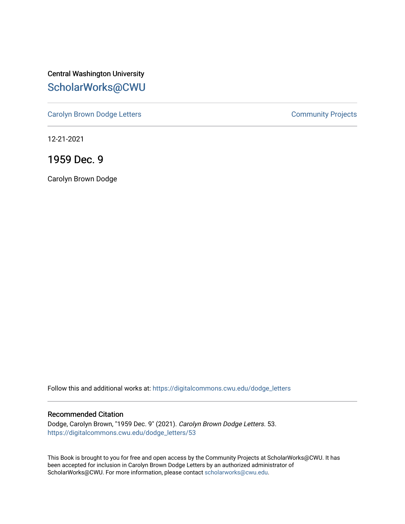Central Washington University [ScholarWorks@CWU](https://digitalcommons.cwu.edu/) 

[Carolyn Brown Dodge Letters](https://digitalcommons.cwu.edu/dodge_letters) **Community Projects** Community Projects

12-21-2021

1959 Dec. 9

Carolyn Brown Dodge

Follow this and additional works at: [https://digitalcommons.cwu.edu/dodge\\_letters](https://digitalcommons.cwu.edu/dodge_letters?utm_source=digitalcommons.cwu.edu%2Fdodge_letters%2F53&utm_medium=PDF&utm_campaign=PDFCoverPages) 

### Recommended Citation

Dodge, Carolyn Brown, "1959 Dec. 9" (2021). Carolyn Brown Dodge Letters. 53. [https://digitalcommons.cwu.edu/dodge\\_letters/53](https://digitalcommons.cwu.edu/dodge_letters/53?utm_source=digitalcommons.cwu.edu%2Fdodge_letters%2F53&utm_medium=PDF&utm_campaign=PDFCoverPages)

This Book is brought to you for free and open access by the Community Projects at ScholarWorks@CWU. It has been accepted for inclusion in Carolyn Brown Dodge Letters by an authorized administrator of ScholarWorks@CWU. For more information, please contact [scholarworks@cwu.edu](mailto:scholarworks@cwu.edu).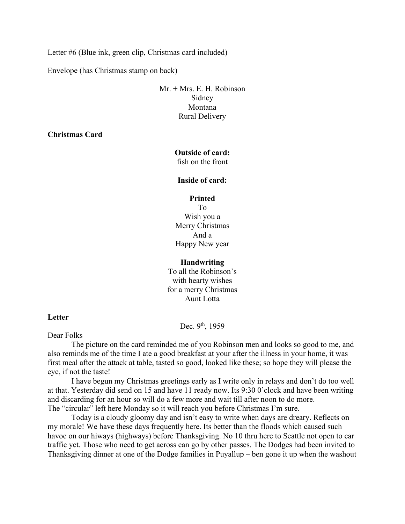Letter #6 (Blue ink, green clip, Christmas card included)

Envelope (has Christmas stamp on back)

Mr. + Mrs. E. H. Robinson Sidney Montana Rural Delivery

**Christmas Card** 

# **Outside of card:**

fish on the front

#### **Inside of card:**

#### **Printed**

To Wish you a Merry Christmas And a Happy New year

## **Handwriting**

To all the Robinson's with hearty wishes for a merry Christmas Aunt Lotta

### **Letter**

Dec. 9th, 1959

Dear Folks

The picture on the card reminded me of you Robinson men and looks so good to me, and also reminds me of the time I ate a good breakfast at your after the illness in your home, it was first meal after the attack at table, tasted so good, looked like these; so hope they will please the eye, if not the taste!

I have begun my Christmas greetings early as I write only in relays and don't do too well at that. Yesterday did send on 15 and have 11 ready now. Its 9:30 0'clock and have been writing and discarding for an hour so will do a few more and wait till after noon to do more. The "circular" left here Monday so it will reach you before Christmas I'm sure.

Today is a cloudy gloomy day and isn't easy to write when days are dreary. Reflects on my morale! We have these days frequently here. Its better than the floods which caused such havoc on our hiways (highways) before Thanksgiving. No 10 thru here to Seattle not open to car traffic yet. Those who need to get across can go by other passes. The Dodges had been invited to Thanksgiving dinner at one of the Dodge families in Puyallup – ben gone it up when the washout